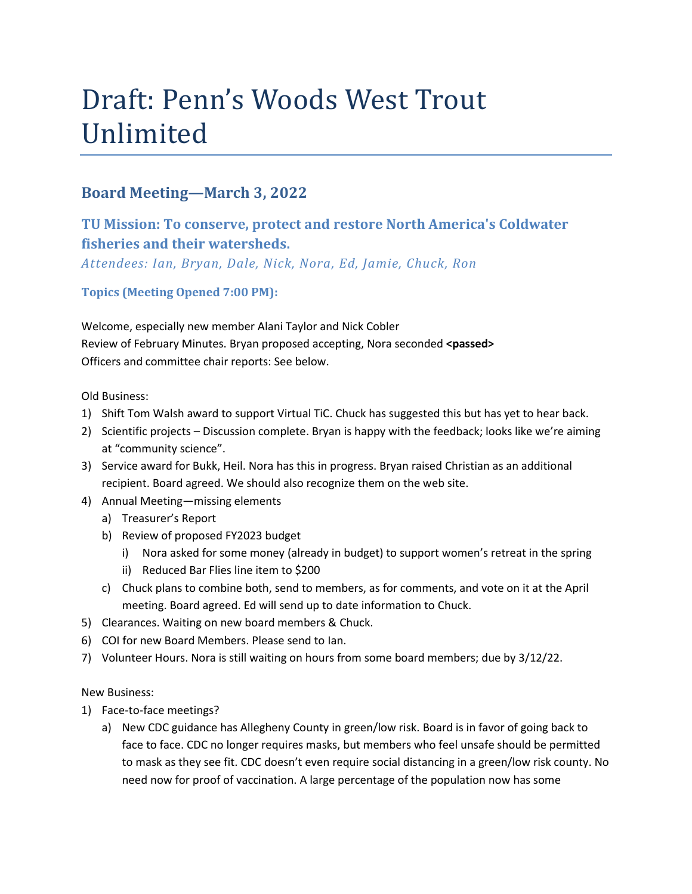# Draft: Penn's Woods West Trout Unlimited

## **Board Meeting—March 3, 2022**

# **TU Mission: To conserve, protect and restore North America's Coldwater fisheries and their watersheds.**

*Attendees: Ian, Bryan, Dale, Nick, Nora, Ed, Jamie, Chuck, Ron*

**Topics (Meeting Opened 7:00 PM):**

Welcome, especially new member Alani Taylor and Nick Cobler Review of February Minutes. Bryan proposed accepting, Nora seconded **<passed>** Officers and committee chair reports: See below.

Old Business:

- 1) Shift Tom Walsh award to support Virtual TiC. Chuck has suggested this but has yet to hear back.
- 2) Scientific projects Discussion complete. Bryan is happy with the feedback; looks like we're aiming at "community science".
- 3) Service award for Bukk, Heil. Nora has this in progress. Bryan raised Christian as an additional recipient. Board agreed. We should also recognize them on the web site.
- 4) Annual Meeting—missing elements
	- a) Treasurer's Report
	- b) Review of proposed FY2023 budget
		- i) Nora asked for some money (already in budget) to support women's retreat in the spring
		- ii) Reduced Bar Flies line item to \$200
	- c) Chuck plans to combine both, send to members, as for comments, and vote on it at the April meeting. Board agreed. Ed will send up to date information to Chuck.
- 5) Clearances. Waiting on new board members & Chuck.
- 6) COI for new Board Members. Please send to Ian.
- 7) Volunteer Hours. Nora is still waiting on hours from some board members; due by 3/12/22.

New Business:

- 1) Face-to-face meetings?
	- a) New CDC guidance has Allegheny County in green/low risk. Board is in favor of going back to face to face. CDC no longer requires masks, but members who feel unsafe should be permitted to mask as they see fit. CDC doesn't even require social distancing in a green/low risk county. No need now for proof of vaccination. A large percentage of the population now has some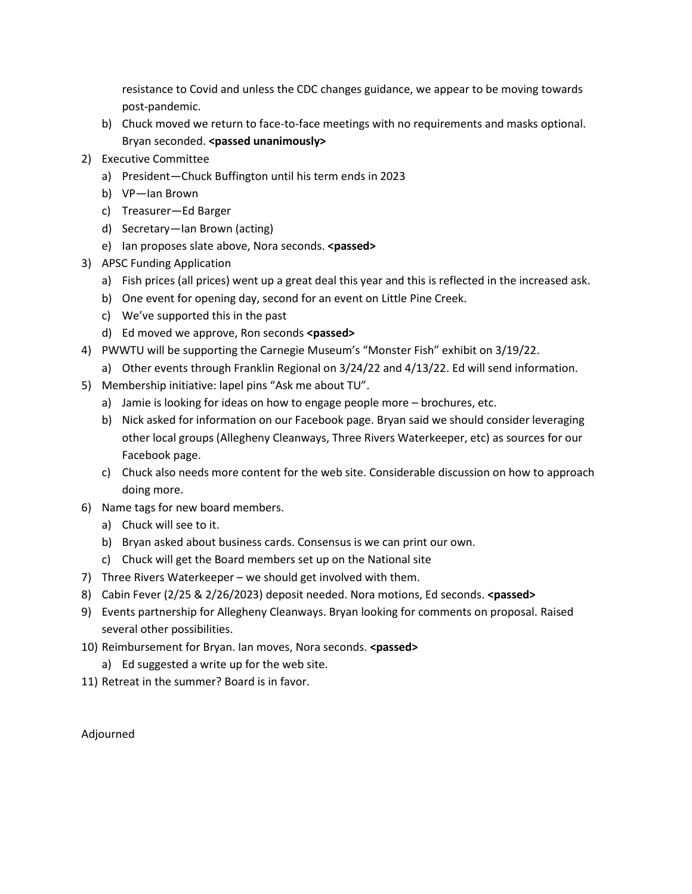resistance to Covid and unless the CDC changes guidance, we appear to be moving towards post-pandemic.

- b) Chuck moved we return to face-to-face meetings with no requirements and masks optional. Bryan seconded. **<passed unanimously>**
- 2) Executive Committee
	- a) President—Chuck Buffington until his term ends in 2023
	- b) VP—Ian Brown
	- c) Treasurer—Ed Barger
	- d) Secretary—Ian Brown (acting)
	- e) Ian proposes slate above, Nora seconds. **<passed>**
- 3) APSC Funding Application
	- a) Fish prices (all prices) went up a great deal this year and this is reflected in the increased ask.
	- b) One event for opening day, second for an event on Little Pine Creek.
	- c) We've supported this in the past
	- d) Ed moved we approve, Ron seconds **<passed>**
- 4) PWWTU will be supporting the Carnegie Museum's "Monster Fish" exhibit on 3/19/22.
	- a) Other events through Franklin Regional on 3/24/22 and 4/13/22. Ed will send information.
- 5) Membership initiative: lapel pins "Ask me about TU".
	- a) Jamie is looking for ideas on how to engage people more brochures, etc.
	- b) Nick asked for information on our Facebook page. Bryan said we should consider leveraging other local groups (Allegheny Cleanways, Three Rivers Waterkeeper, etc) as sources for our Facebook page.
	- c) Chuck also needs more content for the web site. Considerable discussion on how to approach doing more.
- 6) Name tags for new board members.
	- a) Chuck will see to it.
	- b) Bryan asked about business cards. Consensus is we can print our own.
	- c) Chuck will get the Board members set up on the National site
- 7) Three Rivers Waterkeeper we should get involved with them.
- 8) Cabin Fever (2/25 & 2/26/2023) deposit needed. Nora motions, Ed seconds. **<passed>**
- 9) Events partnership for Allegheny Cleanways. Bryan looking for comments on proposal. Raised several other possibilities.
- 10) Reimbursement for Bryan. Ian moves, Nora seconds. **<passed>**
	- a) Ed suggested a write up for the web site.
- 11) Retreat in the summer? Board is in favor.

Adjourned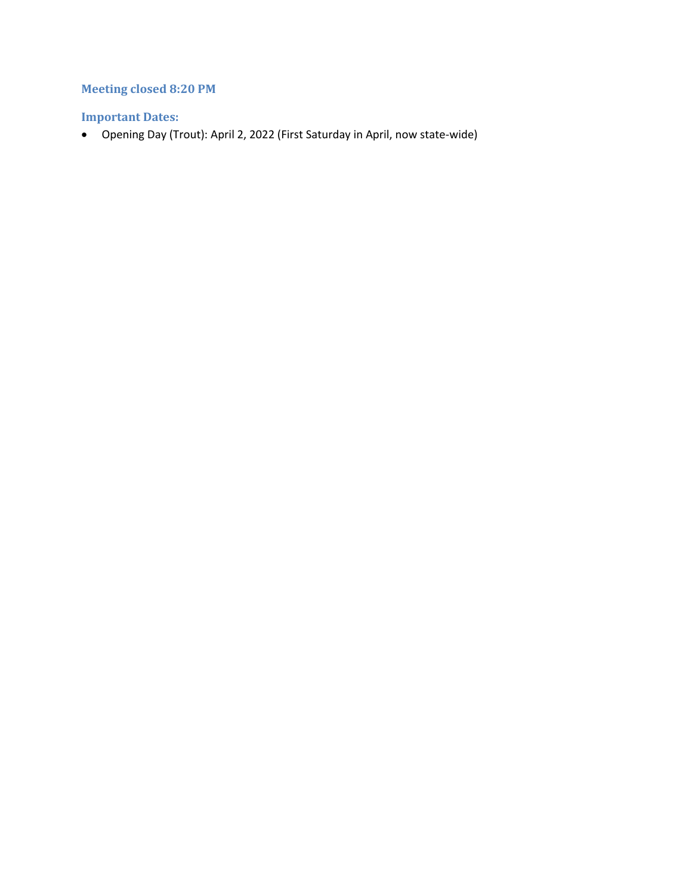## **Meeting closed 8:20 PM**

### **Important Dates:**

• Opening Day (Trout): April 2, 2022 (First Saturday in April, now state-wide)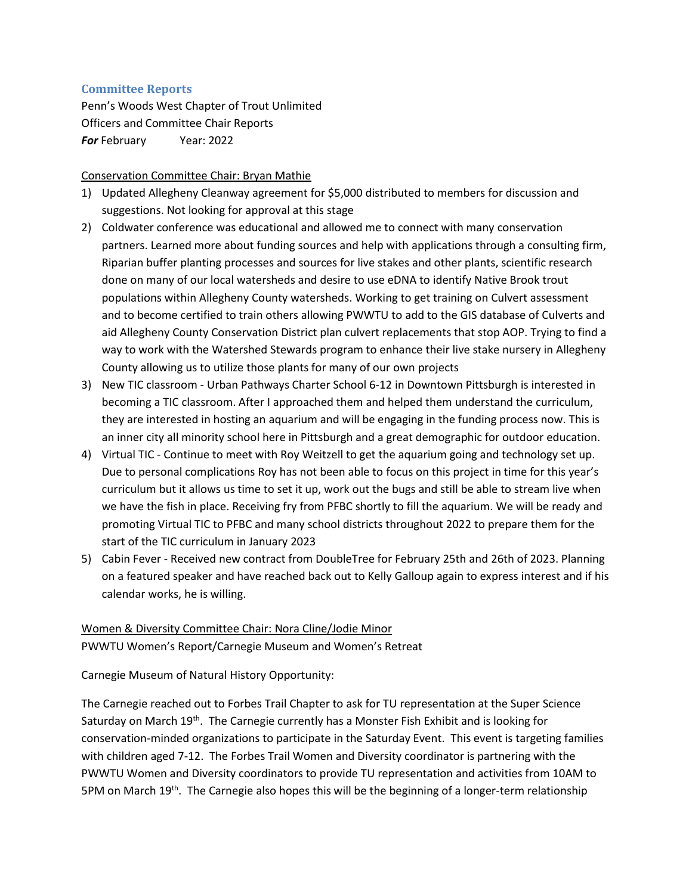#### **Committee Reports**

Penn's Woods West Chapter of Trout Unlimited Officers and Committee Chair Reports *For* February Year: 2022

#### Conservation Committee Chair: Bryan Mathie

- 1) Updated Allegheny Cleanway agreement for \$5,000 distributed to members for discussion and suggestions. Not looking for approval at this stage
- 2) Coldwater conference was educational and allowed me to connect with many conservation partners. Learned more about funding sources and help with applications through a consulting firm, Riparian buffer planting processes and sources for live stakes and other plants, scientific research done on many of our local watersheds and desire to use eDNA to identify Native Brook trout populations within Allegheny County watersheds. Working to get training on Culvert assessment and to become certified to train others allowing PWWTU to add to the GIS database of Culverts and aid Allegheny County Conservation District plan culvert replacements that stop AOP. Trying to find a way to work with the Watershed Stewards program to enhance their live stake nursery in Allegheny County allowing us to utilize those plants for many of our own projects
- 3) New TIC classroom Urban Pathways Charter School 6-12 in Downtown Pittsburgh is interested in becoming a TIC classroom. After I approached them and helped them understand the curriculum, they are interested in hosting an aquarium and will be engaging in the funding process now. This is an inner city all minority school here in Pittsburgh and a great demographic for outdoor education.
- 4) Virtual TIC Continue to meet with Roy Weitzell to get the aquarium going and technology set up. Due to personal complications Roy has not been able to focus on this project in time for this year's curriculum but it allows us time to set it up, work out the bugs and still be able to stream live when we have the fish in place. Receiving fry from PFBC shortly to fill the aquarium. We will be ready and promoting Virtual TIC to PFBC and many school districts throughout 2022 to prepare them for the start of the TIC curriculum in January 2023
- 5) Cabin Fever Received new contract from DoubleTree for February 25th and 26th of 2023. Planning on a featured speaker and have reached back out to Kelly Galloup again to express interest and if his calendar works, he is willing.

#### Women & Diversity Committee Chair: Nora Cline/Jodie Minor

PWWTU Women's Report/Carnegie Museum and Women's Retreat

Carnegie Museum of Natural History Opportunity:

The Carnegie reached out to Forbes Trail Chapter to ask for TU representation at the Super Science Saturday on March  $19<sup>th</sup>$ . The Carnegie currently has a Monster Fish Exhibit and is looking for conservation-minded organizations to participate in the Saturday Event. This event is targeting families with children aged 7-12. The Forbes Trail Women and Diversity coordinator is partnering with the PWWTU Women and Diversity coordinators to provide TU representation and activities from 10AM to 5PM on March 19<sup>th</sup>. The Carnegie also hopes this will be the beginning of a longer-term relationship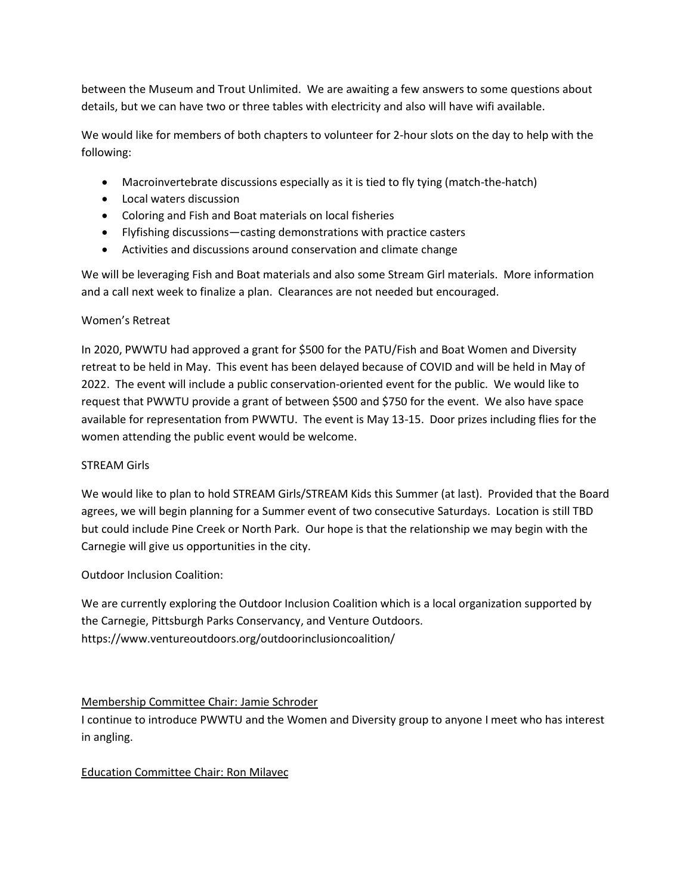between the Museum and Trout Unlimited. We are awaiting a few answers to some questions about details, but we can have two or three tables with electricity and also will have wifi available.

We would like for members of both chapters to volunteer for 2-hour slots on the day to help with the following:

- Macroinvertebrate discussions especially as it is tied to fly tying (match-the-hatch)
- Local waters discussion
- Coloring and Fish and Boat materials on local fisheries
- Flyfishing discussions—casting demonstrations with practice casters
- Activities and discussions around conservation and climate change

We will be leveraging Fish and Boat materials and also some Stream Girl materials. More information and a call next week to finalize a plan. Clearances are not needed but encouraged.

#### Women's Retreat

In 2020, PWWTU had approved a grant for \$500 for the PATU/Fish and Boat Women and Diversity retreat to be held in May. This event has been delayed because of COVID and will be held in May of 2022. The event will include a public conservation-oriented event for the public. We would like to request that PWWTU provide a grant of between \$500 and \$750 for the event. We also have space available for representation from PWWTU. The event is May 13-15. Door prizes including flies for the women attending the public event would be welcome.

#### STREAM Girls

We would like to plan to hold STREAM Girls/STREAM Kids this Summer (at last). Provided that the Board agrees, we will begin planning for a Summer event of two consecutive Saturdays. Location is still TBD but could include Pine Creek or North Park. Our hope is that the relationship we may begin with the Carnegie will give us opportunities in the city.

Outdoor Inclusion Coalition:

We are currently exploring the Outdoor Inclusion Coalition which is a local organization supported by the Carnegie, Pittsburgh Parks Conservancy, and Venture Outdoors. https://www.ventureoutdoors.org/outdoorinclusioncoalition/

#### Membership Committee Chair: Jamie Schroder

I continue to introduce PWWTU and the Women and Diversity group to anyone I meet who has interest in angling.

#### Education Committee Chair: Ron Milavec